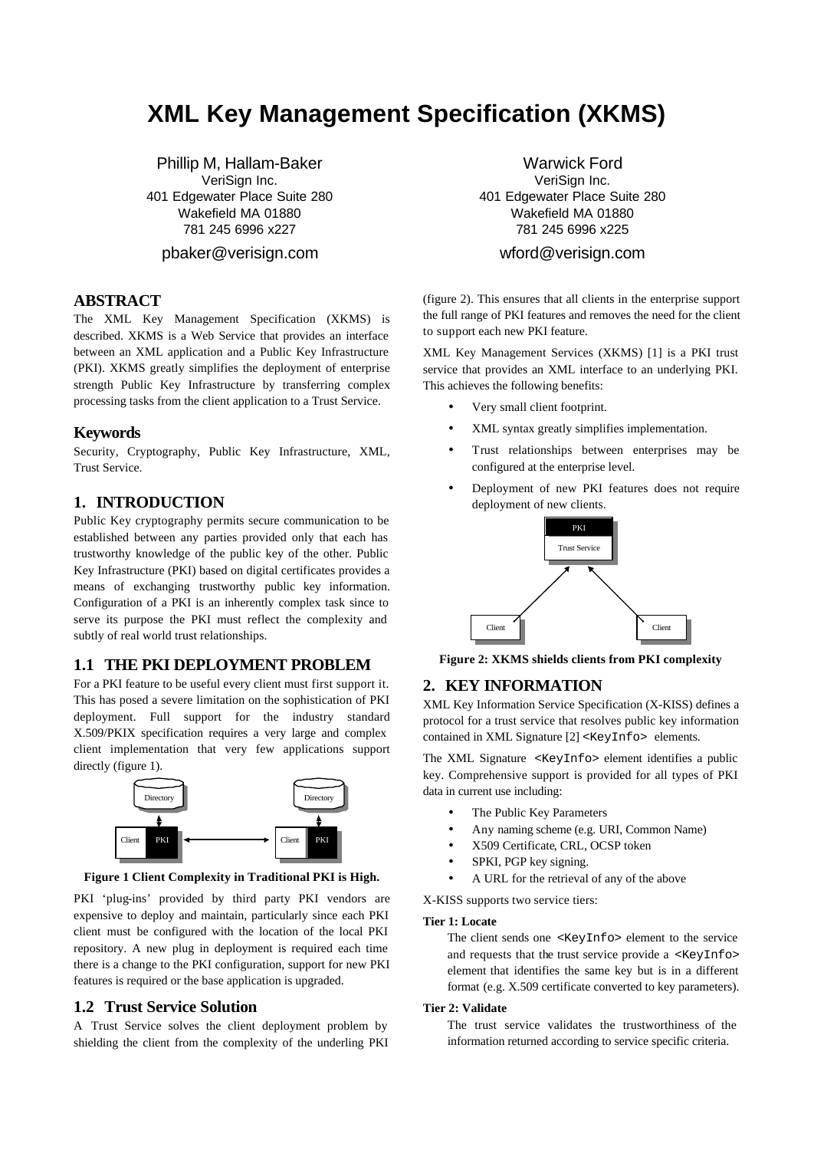# **XML Key Management Specification (XKMS)**

Phillip M, Hallam-Baker VeriSign Inc. 401 Edgewater Place Suite 280 Wakefield MA 01880 781 245 6996 x227

pbaker@verisign.com

# **ABSTRACT**

The XML Key Management Specification (XKMS) is described. XKMS is a Web Service that provides an interface between an XML application and a Public Key Infrastructure (PKI). XKMS greatly simplifies the deployment of enterprise strength Public Key Infrastructure by transferring complex processing tasks from the client application to a Trust Service.

## **Keywords**

Security, Cryptography, Public Key Infrastructure, XML, Trust Service.

# **1. INTRODUCTION**

Public Key cryptography permits secure communication to be established between any parties provided only that each has trustworthy knowledge of the public key of the other. Public Key Infrastructure (PKI) based on digital certificates provides a means of exchanging trustworthy public key information. Configuration of a PKI is an inherently complex task since to serve its purpose the PKI must reflect the complexity and subtly of real world trust relationships.

# **1.1 THE PKI DEPLOYMENT PROBLEM**

For a PKI feature to be useful every client must first support it. This has posed a severe limitation on the sophistication of PKI deployment. Full support for the industry standard X.509/PKIX specification requires a very large and complex client implementation that very few applications support directly (figure 1).



**Figure 1 Client Complexity in Traditional PKI is High.**

PKI 'plug-ins' provided by third party PKI vendors are expensive to deploy and maintain, particularly since each PKI client must be configured with the location of the local PKI repository. A new plug in deployment is required each time there is a change to the PKI configuration, support for new PKI features is required or the base application is upgraded.

## **1.2 Trust Service Solution**

A Trust Service solves the client deployment problem by shielding the client from the complexity of the underling PKI

Warwick Ford VeriSign Inc. 401 Edgewater Place Suite 280 Wakefield MA 01880 781 245 6996 x225

# wford@verisign.com

(figure 2). This ensures that all clients in the enterprise support the full range of PKI features and removes the need for the client to support each new PKI feature.

XML Key Management Services (XKMS) [1] is a PKI trust service that provides an XML interface to an underlying PKI. This achieves the following benefits:

- Very small client footprint.
- XML syntax greatly simplifies implementation.
- Trust relationships between enterprises may be configured at the enterprise level.
- Deployment of new PKI features does not require deployment of new clients.



**Figure 2: XKMS shields clients from PKI complexity**

## **2. KEY INFORMATION**

XML Key Information Service Specification (X-KISS) defines a protocol for a trust service that resolves public key information contained in XML Signature [2] <KeyInfo> elements.

The XML Signature <KeyInfo> element identifies a public key. Comprehensive support is provided for all types of PKI data in current use including:

- The Public Key Parameters
- Any naming scheme (e.g. URI, Common Name)
- X509 Certificate, CRL, OCSP token
- SPKI, PGP key signing.
- A URL for the retrieval of any of the above
- X-KISS supports two service tiers:

#### **Tier 1: Locate**

The client sends one <KeyInfo> element to the service and requests that the trust service provide a <KeyInfo> element that identifies the same key but is in a different format (e.g. X.509 certificate converted to key parameters).

#### **Tier 2: Validate**

The trust service validates the trustworthiness of the information returned according to service specific criteria.